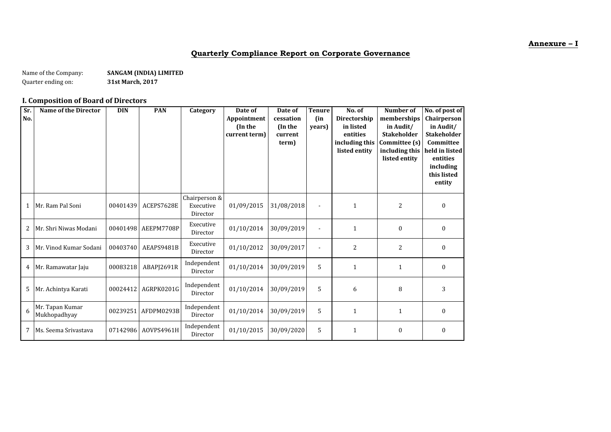#### **Annexure – I**

## **Quarterly Compliance Report on Corporate Governance**

Name of the Company: **SANGAM (INDIA) LIMITED**<br>Quarter ending on: **S1st March, 2017** Quarter ending on:

## **I. Composition of Board of Directors**

| Sr.<br>No. | <b>Name of the Director</b>     | <b>DIN</b> | <b>PAN</b> | Category                               | Date of<br>Appointment<br>(In the<br>current term) | Date of<br>cessation<br>(In the<br>current<br>term) | <b>Tenure</b><br>(in<br>years) | No. of<br>Directorship<br>in listed<br>entities<br>including this<br>listed entity | <b>Number of</b><br>memberships<br>in Audit/<br><b>Stakeholder</b><br>Committee (s)<br>including this<br>listed entity | No. of post of<br>Chairperson<br>in Audit/<br><b>Stakeholder</b><br>Committee<br>held in listed<br>entities<br>including<br>this listed<br>entity |
|------------|---------------------------------|------------|------------|----------------------------------------|----------------------------------------------------|-----------------------------------------------------|--------------------------------|------------------------------------------------------------------------------------|------------------------------------------------------------------------------------------------------------------------|---------------------------------------------------------------------------------------------------------------------------------------------------|
| 1          | Mr. Ram Pal Soni                | 00401439   | ACEPS7628E | Chairperson &<br>Executive<br>Director | 01/09/2015                                         | 31/08/2018                                          |                                | $\mathbf{1}$                                                                       | 2                                                                                                                      | $\boldsymbol{0}$                                                                                                                                  |
| 2          | Mr. Shri Niwas Modani           | 00401498   | AEEPM7708P | Executive<br>Director                  | 01/10/2014                                         | 30/09/2019                                          |                                | 1                                                                                  | $\boldsymbol{0}$                                                                                                       | $\boldsymbol{0}$                                                                                                                                  |
| 3          | Mr. Vinod Kumar Sodani          | 00403740   | AEAPS9481B | Executive<br>Director                  | 01/10/2012                                         | 30/09/2017                                          |                                | 2                                                                                  | $\overline{c}$                                                                                                         | $\boldsymbol{0}$                                                                                                                                  |
| 4          | Mr. Ramawatar Jaju              | 00083218   | ABAPJ2691R | Independent<br>Director                | 01/10/2014                                         | 30/09/2019                                          | 5                              | $\mathbf{1}$                                                                       | $\mathbf{1}$                                                                                                           | $\bf{0}$                                                                                                                                          |
| 5          | Mr. Achintya Karati             | 00024412   | AGRPK0201G | Independent<br>Director                | 01/10/2014                                         | 30/09/2019                                          | 5                              | 6                                                                                  | 8                                                                                                                      | 3                                                                                                                                                 |
| 6          | Mr. Tapan Kumar<br>Mukhopadhyay | 00239251   | AFDPM0293B | Independent<br>Director                | 01/10/2014                                         | 30/09/2019                                          | 5                              | 1                                                                                  | 1                                                                                                                      | $\boldsymbol{0}$                                                                                                                                  |
| 7          | Ms. Seema Srivastava            | 07142986   | AOVPS4961H | Independent<br>Director                | 01/10/2015                                         | 30/09/2020                                          | 5                              | $\mathbf{1}$                                                                       | $\boldsymbol{0}$                                                                                                       | $\boldsymbol{0}$                                                                                                                                  |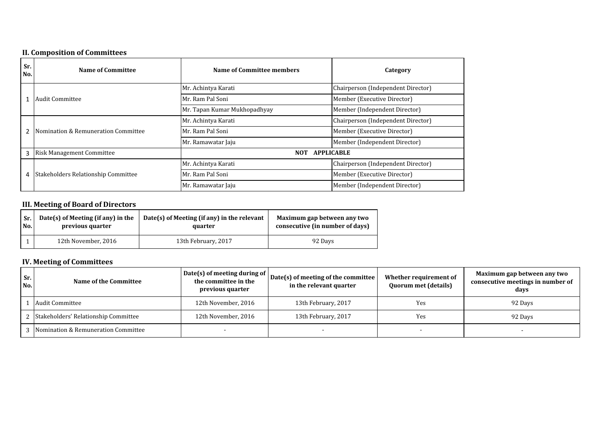## **II. Composition of Committees**

|            | m componaen er committees           |                                 |                                    |  |  |  |  |
|------------|-------------------------------------|---------------------------------|------------------------------------|--|--|--|--|
| Sr.<br>No. | <b>Name of Committee</b>            | Name of Committee members       | Category                           |  |  |  |  |
|            |                                     | Mr. Achintya Karati             | Chairperson (Independent Director) |  |  |  |  |
| 1          | Audit Committee                     | Mr. Ram Pal Soni                | Member (Executive Director)        |  |  |  |  |
|            |                                     | Mr. Tapan Kumar Mukhopadhyay    | Member (Independent Director)      |  |  |  |  |
|            |                                     | Mr. Achintya Karati             | Chairperson (Independent Director) |  |  |  |  |
|            | Nomination & Remuneration Committee | Mr. Ram Pal Soni                | Member (Executive Director)        |  |  |  |  |
|            |                                     | Mr. Ramawatar Jaju              | Member (Independent Director)      |  |  |  |  |
| 3          | <b>Risk Management Committee</b>    | <b>APPLICABLE</b><br><b>NOT</b> |                                    |  |  |  |  |
|            |                                     | Mr. Achintya Karati             | Chairperson (Independent Director) |  |  |  |  |
| 4          | Stakeholders Relationship Committee | Mr. Ram Pal Soni                | Member (Executive Director)        |  |  |  |  |
|            |                                     | Mr. Ramawatar Jaju              | Member (Independent Director)      |  |  |  |  |

## **III. Meeting of Board of Directors**

| Sr. | Date(s) of Meeting (if any) in the | Date(s) of Meeting (if any) in the relevant | Maximum gap between any two     |
|-----|------------------------------------|---------------------------------------------|---------------------------------|
| No. | previous quarter                   | quarter                                     | consecutive (in number of days) |
|     | 12th November, 2016                | 13th February, 2017                         |                                 |

## **IV. Meeting of Committees**

| Sr.<br>No. | Name of the Committee                  | Date(s) of meeting during of<br>the committee in the<br>previous quarter | Date(s) of meeting of the committee<br>in the relevant quarter | Whether requirement of<br><b>Quorum met (details)</b> | Maximum gap between any two<br>consecutive meetings in number of<br>days |
|------------|----------------------------------------|--------------------------------------------------------------------------|----------------------------------------------------------------|-------------------------------------------------------|--------------------------------------------------------------------------|
|            | Audit Committee                        | 12th November, 2016                                                      | 13th February, 2017                                            | Yes                                                   | 92 Days                                                                  |
|            | 2 Stakeholders' Relationship Committee | 12th November, 2016                                                      | 13th February, 2017                                            | Yes                                                   | 92 Days                                                                  |
|            | 3 Nomination & Remuneration Committee  |                                                                          |                                                                |                                                       |                                                                          |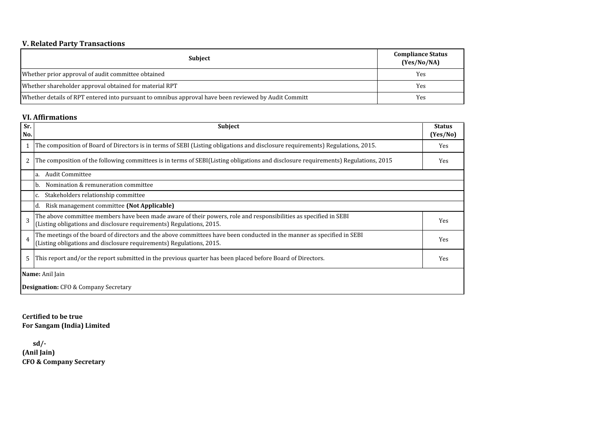## **V. Related Party Transactions**

| <b>Subject</b>                                                                                       | <b>Compliance Status</b><br>(Yes/No/NA) |
|------------------------------------------------------------------------------------------------------|-----------------------------------------|
| Whether prior approval of audit committee obtained                                                   | Yes                                     |
| Whether shareholder approval obtained for material RPT                                               | Yes                                     |
| Whether details of RPT entered into pursuant to omnibus approval have been reviewed by Audit Committ | Yes                                     |

#### **VI. Affirmations**

| Sr.            | <b>Subject</b>                                                                                                                                                                                 | <b>Status</b> |
|----------------|------------------------------------------------------------------------------------------------------------------------------------------------------------------------------------------------|---------------|
| No.            |                                                                                                                                                                                                | (Yes/No)      |
|                | The composition of Board of Directors is in terms of SEBI (Listing obligations and disclosure requirements) Regulations, 2015.                                                                 | Yes           |
| 2              | The composition of the following committees is in terms of SEBI(Listing obligations and disclosure requirements) Regulations, 2015                                                             | Yes           |
|                | <b>Audit Committee</b><br>a.                                                                                                                                                                   |               |
|                | Nomination & remuneration committee<br>b.                                                                                                                                                      |               |
|                | Stakeholders relationship committee                                                                                                                                                            |               |
|                | Risk management committee (Not Applicable)<br>d.                                                                                                                                               |               |
| 3              | The above committee members have been made aware of their powers, role and responsibilities as specified in SEBI<br>(Listing obligations and disclosure requirements) Regulations, 2015.       | Yes           |
| $\overline{4}$ | The meetings of the board of directors and the above committees have been conducted in the manner as specified in SEBI<br>(Listing obligations and disclosure requirements) Regulations, 2015. | <b>Yes</b>    |
| 5              | This report and/or the report submitted in the previous quarter has been placed before Board of Directors.                                                                                     | Yes           |
|                | Name: Anil Jain                                                                                                                                                                                |               |
|                | <b>Designation:</b> CFO & Company Secretary                                                                                                                                                    |               |

**Certified to be true For Sangam (India) Limited**

**(Anil Jain) CFO & Company Secretary sd/-**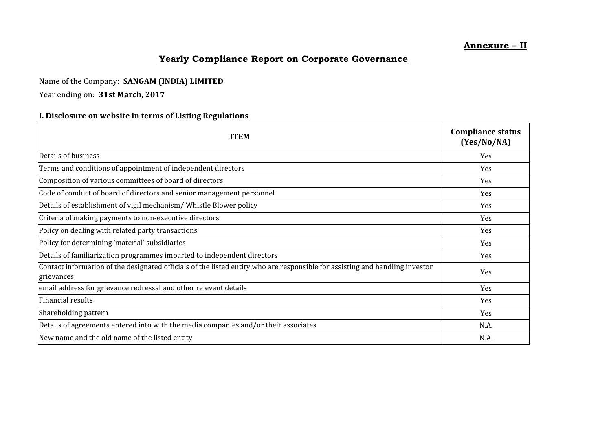## **Annexure – II**

# **Yearly Compliance Report on Corporate Governance**

# Name of the Company: **SANGAM (INDIA) LIMITED**

# Year ending on: **31st March, 2017**

# **I. Disclosure on website in terms of Listing Regulations**

| <b>ITEM</b>                                                                                                                                | <b>Compliance status</b><br>(Yes/No/NA) |
|--------------------------------------------------------------------------------------------------------------------------------------------|-----------------------------------------|
| Details of business                                                                                                                        | Yes                                     |
| Terms and conditions of appointment of independent directors                                                                               | Yes                                     |
| Composition of various committees of board of directors                                                                                    | Yes                                     |
| Code of conduct of board of directors and senior management personnel                                                                      | Yes                                     |
| Details of establishment of vigil mechanism/ Whistle Blower policy                                                                         | Yes                                     |
| Criteria of making payments to non-executive directors                                                                                     | Yes                                     |
| Policy on dealing with related party transactions                                                                                          | Yes                                     |
| Policy for determining 'material' subsidiaries                                                                                             | Yes                                     |
| Details of familiarization programmes imparted to independent directors                                                                    | Yes.                                    |
| Contact information of the designated officials of the listed entity who are responsible for assisting and handling investor<br>grievances | Yes                                     |
| email address for grievance redressal and other relevant details                                                                           | Yes                                     |
| Financial results                                                                                                                          | Yes                                     |
| Shareholding pattern                                                                                                                       | Yes                                     |
| Details of agreements entered into with the media companies and/or their associates                                                        | N.A.                                    |
| New name and the old name of the listed entity                                                                                             | N.A.                                    |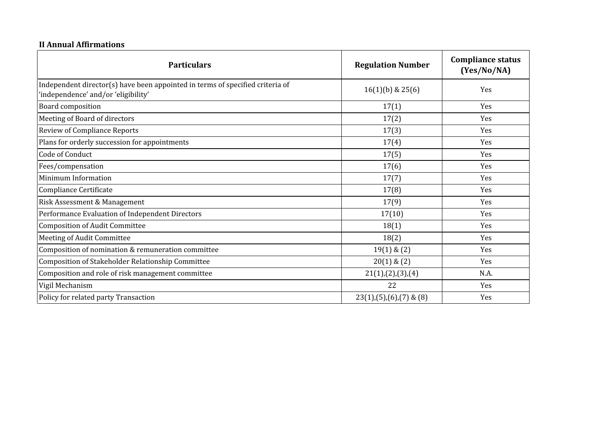# **II Annual Affirmations**

| <b>Particulars</b>                                                                                                   | <b>Regulation Number</b>    | <b>Compliance status</b><br>(Yes/No/NA) |
|----------------------------------------------------------------------------------------------------------------------|-----------------------------|-----------------------------------------|
| Independent director(s) have been appointed in terms of specified criteria of<br>'independence' and/or 'eligibility' | $16(1)(b)$ & $25(6)$        | Yes                                     |
| <b>Board composition</b>                                                                                             | 17(1)                       | Yes                                     |
| Meeting of Board of directors                                                                                        | 17(2)                       | Yes                                     |
| <b>Review of Compliance Reports</b>                                                                                  | 17(3)                       | Yes                                     |
| Plans for orderly succession for appointments                                                                        | 17(4)                       | Yes                                     |
| Code of Conduct                                                                                                      | 17(5)                       | Yes                                     |
| Fees/compensation                                                                                                    | 17(6)                       | Yes                                     |
| Minimum Information                                                                                                  | 17(7)                       | Yes                                     |
| Compliance Certificate                                                                                               | 17(8)                       | Yes                                     |
| Risk Assessment & Management                                                                                         | 17(9)                       | Yes                                     |
| Performance Evaluation of Independent Directors                                                                      | 17(10)                      | Yes                                     |
| Composition of Audit Committee                                                                                       | 18(1)                       | Yes                                     |
| Meeting of Audit Committee                                                                                           | 18(2)                       | Yes                                     |
| Composition of nomination & remuneration committee                                                                   | $19(1)$ & $(2)$             | Yes                                     |
| Composition of Stakeholder Relationship Committee                                                                    | $20(1)$ & $(2)$             | Yes                                     |
| Composition and role of risk management committee                                                                    | 21(1),(2),(3),(4)           | N.A.                                    |
| Vigil Mechanism                                                                                                      | 22                          | Yes                                     |
| Policy for related party Transaction                                                                                 | $23(1),(5),(6),(7)$ & $(8)$ | Yes                                     |